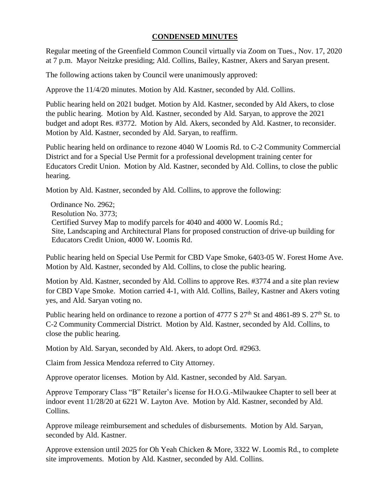## **CONDENSED MINUTES**

Regular meeting of the Greenfield Common Council virtually via Zoom on Tues., Nov. 17, 2020 at 7 p.m. Mayor Neitzke presiding; Ald. Collins, Bailey, Kastner, Akers and Saryan present.

The following actions taken by Council were unanimously approved:

Approve the 11/4/20 minutes. Motion by Ald. Kastner, seconded by Ald. Collins.

Public hearing held on 2021 budget. Motion by Ald. Kastner, seconded by Ald Akers, to close the public hearing. Motion by Ald. Kastner, seconded by Ald. Saryan, to approve the 2021 budget and adopt Res. #3772. Motion by Ald. Akers, seconded by Ald. Kastner, to reconsider. Motion by Ald. Kastner, seconded by Ald. Saryan, to reaffirm.

Public hearing held on ordinance to rezone 4040 W Loomis Rd. to C-2 Community Commercial District and for a Special Use Permit for a professional development training center for Educators Credit Union. Motion by Ald. Kastner, seconded by Ald. Collins, to close the public hearing.

Motion by Ald. Kastner, seconded by Ald. Collins, to approve the following:

 Ordinance No. 2962; Resolution No. 3773; Certified Survey Map to modify parcels for 4040 and 4000 W. Loomis Rd.; Site, Landscaping and Architectural Plans for proposed construction of drive-up building for Educators Credit Union, 4000 W. Loomis Rd.

Public hearing held on Special Use Permit for CBD Vape Smoke, 6403-05 W. Forest Home Ave. Motion by Ald. Kastner, seconded by Ald. Collins, to close the public hearing.

Motion by Ald. Kastner, seconded by Ald. Collins to approve Res. #3774 and a site plan review for CBD Vape Smoke. Motion carried 4-1, with Ald. Collins, Bailey, Kastner and Akers voting yes, and Ald. Saryan voting no.

Public hearing held on ordinance to rezone a portion of 4777 S 27<sup>th</sup> St and 4861-89 S. 27<sup>th</sup> St. to C-2 Community Commercial District. Motion by Ald. Kastner, seconded by Ald. Collins, to close the public hearing.

Motion by Ald. Saryan, seconded by Ald. Akers, to adopt Ord. #2963.

Claim from Jessica Mendoza referred to City Attorney.

Approve operator licenses. Motion by Ald. Kastner, seconded by Ald. Saryan.

Approve Temporary Class "B" Retailer's license for H.O.G.-Milwaukee Chapter to sell beer at indoor event 11/28/20 at 6221 W. Layton Ave. Motion by Ald. Kastner, seconded by Ald. Collins.

Approve mileage reimbursement and schedules of disbursements. Motion by Ald. Saryan, seconded by Ald. Kastner.

Approve extension until 2025 for Oh Yeah Chicken & More, 3322 W. Loomis Rd., to complete site improvements. Motion by Ald. Kastner, seconded by Ald. Collins.